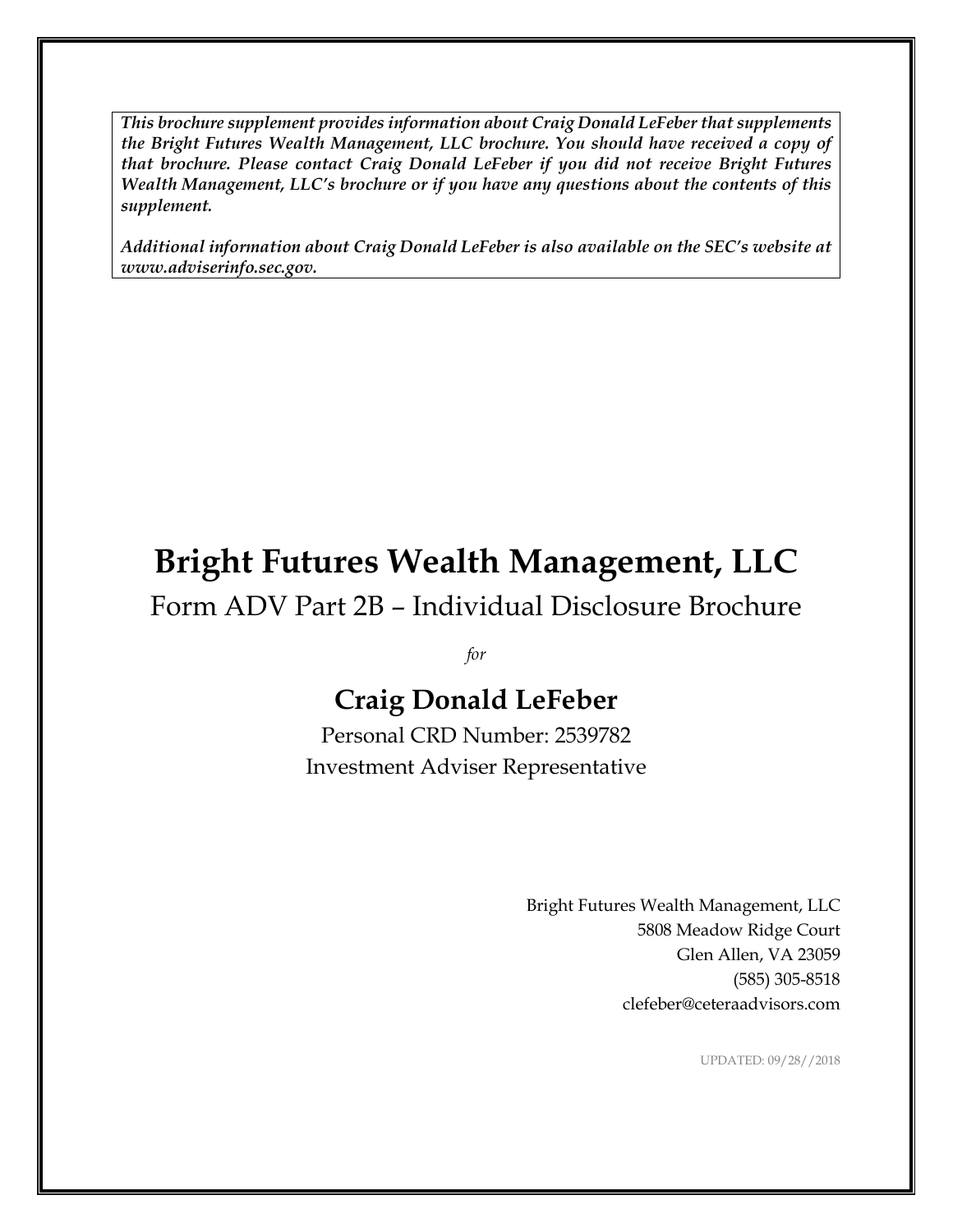*This brochure supplement provides information about Craig Donald LeFeber that supplements the Bright Futures Wealth Management, LLC brochure. You should have received a copy of that brochure. Please contact Craig Donald LeFeber if you did not receive Bright Futures Wealth Management, LLC's brochure or if you have any questions about the contents of this supplement.*

*Additional information about Craig Donald LeFeber is also available on the SEC's website at www.adviserinfo.sec.gov.*

# **Bright Futures Wealth Management, LLC**

Form ADV Part 2B – Individual Disclosure Brochure

*for*

# **Craig Donald LeFeber**

Personal CRD Number: 2539782 Investment Adviser Representative

> Bright Futures Wealth Management, LLC 5808 Meadow Ridge Court Glen Allen, VA 23059 (585) 305-8518 clefeber@ceteraadvisors.com

> > UPDATED: 09/28//2018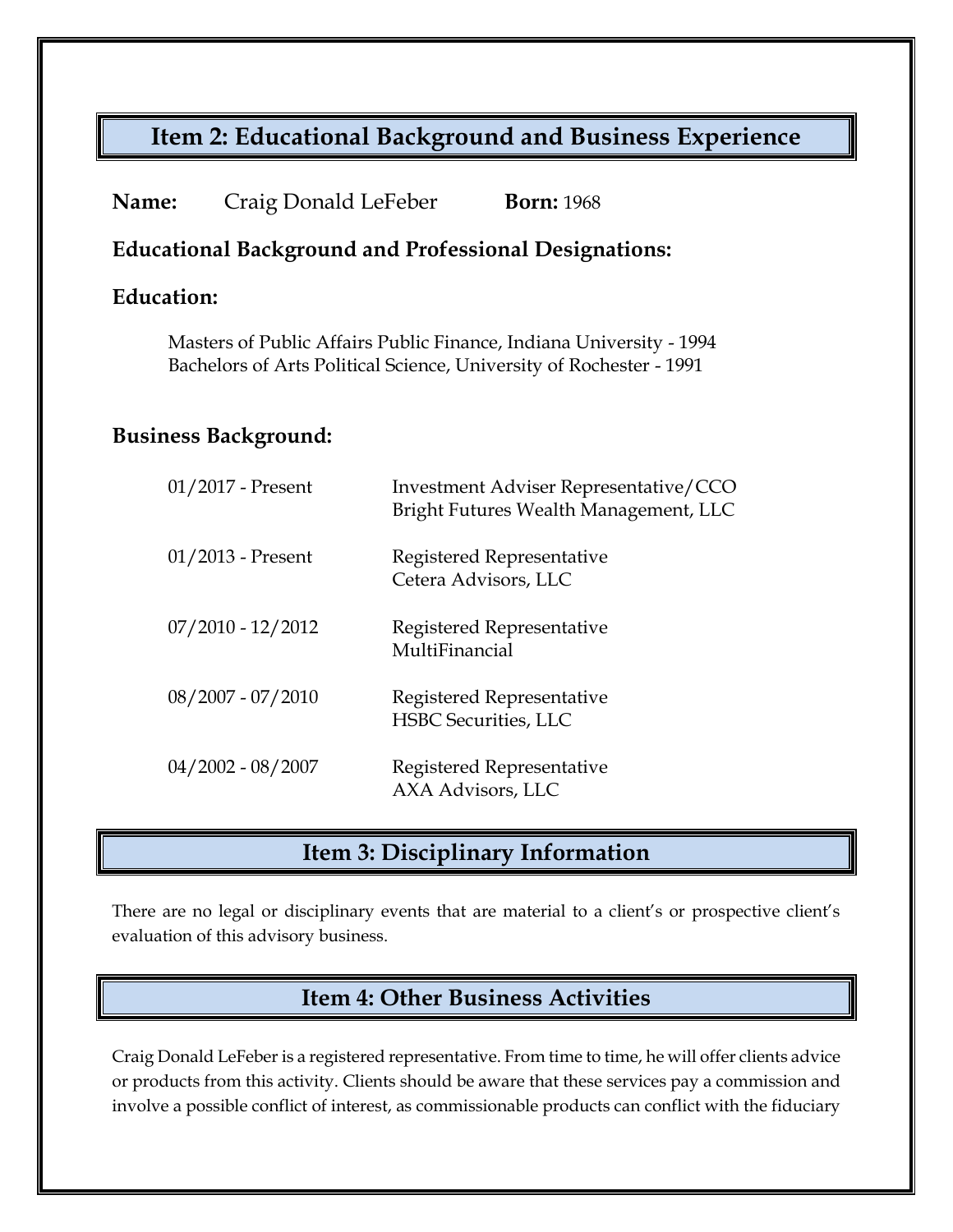# **Item 2: Educational Background and Business Experience**

| Name: | Craig Donald LeFeber | <b>Born:</b> 1968 |
|-------|----------------------|-------------------|
|-------|----------------------|-------------------|

#### **Educational Background and Professional Designations:**

#### **Education:**

Masters of Public Affairs Public Finance, Indiana University - 1994 Bachelors of Arts Political Science, University of Rochester - 1991

#### **Business Background:**

| $01/2013$ - Present<br>Registered Representative<br>Cetera Advisors, LLC<br>$07/2010 - 12/2012$<br>Registered Representative<br>MultiFinancial<br>$08/2007 - 07/2010$<br>Registered Representative<br><b>HSBC</b> Securities, LLC<br>$04/2002 - 08/2007$<br>Registered Representative<br>AXA Advisors, LLC | $01/2017$ - Present | Investment Adviser Representative/CCO<br>Bright Futures Wealth Management, LLC |
|------------------------------------------------------------------------------------------------------------------------------------------------------------------------------------------------------------------------------------------------------------------------------------------------------------|---------------------|--------------------------------------------------------------------------------|
|                                                                                                                                                                                                                                                                                                            |                     |                                                                                |
|                                                                                                                                                                                                                                                                                                            |                     |                                                                                |
|                                                                                                                                                                                                                                                                                                            |                     |                                                                                |
|                                                                                                                                                                                                                                                                                                            |                     |                                                                                |

#### **Item 3: Disciplinary Information**

There are no legal or disciplinary events that are material to a client's or prospective client's evaluation of this advisory business.

# **Item 4: Other Business Activities**

Craig Donald LeFeber is a registered representative. From time to time, he will offer clients advice or products from this activity. Clients should be aware that these services pay a commission and involve a possible conflict of interest, as commissionable products can conflict with the fiduciary